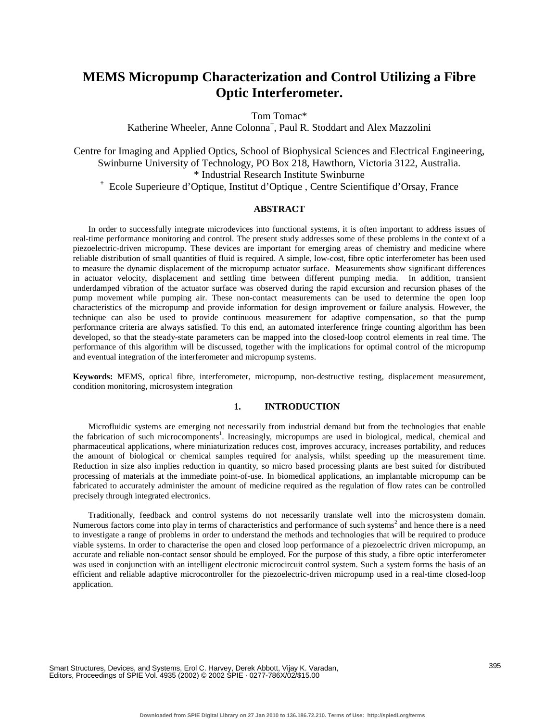# **MEMS Micropump Characterization and Control Utilizing a Fibre Optic Interferometer.**

Tom Tomac\*

Katherine Wheeler, Anne Colonna<sup>+</sup>, Paul R. Stoddart and Alex Mazzolini

Centre for Imaging and Applied Optics, School of Biophysical Sciences and Electrical Engineering, Swinburne University of Technology, PO Box 218, Hawthorn, Victoria 3122, Australia. \* Industrial Research Institute Swinburne **<sup>+</sup>** Ecole Superieure d'Optique, Institut d'Optique , Centre Scientifique d'Orsay, France

## **ABSTRACT**

In order to successfully integrate microdevices into functional systems, it is often important to address issues of real-time performance monitoring and control. The present study addresses some of these problems in the context of a piezoelectric-driven micropump. These devices are important for emerging areas of chemistry and medicine where reliable distribution of small quantities of fluid is required. A simple, low-cost, fibre optic interferometer has been used to measure the dynamic displacement of the micropump actuator surface. Measurements show significant differences in actuator velocity, displacement and settling time between different pumping media. In addition, transient underdamped vibration of the actuator surface was observed during the rapid excursion and recursion phases of the pump movement while pumping air. These non-contact measurements can be used to determine the open loop characteristics of the micropump and provide information for design improvement or failure analysis. However, the technique can also be used to provide continuous measurement for adaptive compensation, so that the pump performance criteria are always satisfied. To this end, an automated interference fringe counting algorithm has been developed, so that the steady-state parameters can be mapped into the closed-loop control elements in real time. The performance of this algorithm will be discussed, together with the implications for optimal control of the micropump and eventual integration of the interferometer and micropump systems.

**Keywords:** MEMS, optical fibre, interferometer, micropump, non-destructive testing, displacement measurement, condition monitoring, microsystem integration

# **1. INTRODUCTION**

Microfluidic systems are emerging not necessarily from industrial demand but from the technologies that enable the fabrication of such microcomponents<sup>1</sup>. Increasingly, micropumps are used in biological, medical, chemical and pharmaceutical applications, where miniaturization reduces cost, improves accuracy, increases portability, and reduces the amount of biological or chemical samples required for analysis, whilst speeding up the measurement time. Reduction in size also implies reduction in quantity, so micro based processing plants are best suited for distributed processing of materials at the immediate point-of-use. In biomedical applications, an implantable micropump can be fabricated to accurately administer the amount of medicine required as the regulation of flow rates can be controlled precisely through integrated electronics.

Traditionally, feedback and control systems do not necessarily translate well into the microsystem domain. Numerous factors come into play in terms of characteristics and performance of such systems<sup>2</sup> and hence there is a need to investigate a range of problems in order to understand the methods and technologies that will be required to produce viable systems. In order to characterise the open and closed loop performance of a piezoelectric driven micropump, an accurate and reliable non-contact sensor should be employed. For the purpose of this study, a fibre optic interferometer was used in conjunction with an intelligent electronic microcircuit control system. Such a system forms the basis of an efficient and reliable adaptive microcontroller for the piezoelectric-driven micropump used in a real-time closed-loop application.

Smart Structures, Devices, and Systems, Erol C. Harvey, Derek Abbott, Vijay K. Varadan, Editors, Proceedings of SPIE Vol. 4935 (2002) © 2002 SPIE · 0277-786X/02/\$15.00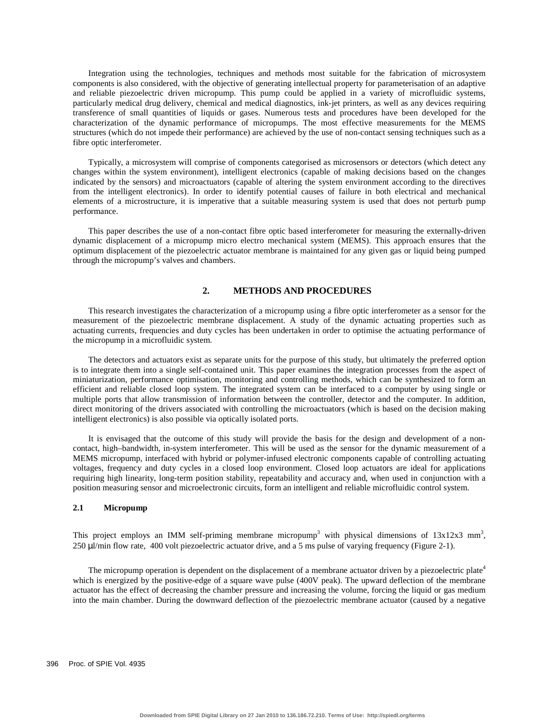Integration using the technologies, techniques and methods most suitable for the fabrication of microsystem components is also considered, with the objective of generating intellectual property for parameterisation of an adaptive and reliable piezoelectric driven micropump. This pump could be applied in a variety of microfluidic systems, particularly medical drug delivery, chemical and medical diagnostics, ink-jet printers, as well as any devices requiring transference of small quantities of liquids or gases. Numerous tests and procedures have been developed for the characterization of the dynamic performance of micropumps. The most effective measurements for the MEMS structures (which do not impede their performance) are achieved by the use of non-contact sensing techniques such as a fibre optic interferometer.

Typically, a microsystem will comprise of components categorised as microsensors or detectors (which detect any changes within the system environment), intelligent electronics (capable of making decisions based on the changes indicated by the sensors) and microactuators (capable of altering the system environment according to the directives from the intelligent electronics). In order to identify potential causes of failure in both electrical and mechanical elements of a microstructure, it is imperative that a suitable measuring system is used that does not perturb pump performance.

This paper describes the use of a non-contact fibre optic based interferometer for measuring the externally-driven dynamic displacement of a micropump micro electro mechanical system (MEMS). This approach ensures that the optimum displacement of the piezoelectric actuator membrane is maintained for any given gas or liquid being pumped through the micropump's valves and chambers.

# **2. METHODS AND PROCEDURES**

This research investigates the characterization of a micropump using a fibre optic interferometer as a sensor for the measurement of the piezoelectric membrane displacement. A study of the dynamic actuating properties such as actuating currents, frequencies and duty cycles has been undertaken in order to optimise the actuating performance of the micropump in a microfluidic system.

The detectors and actuators exist as separate units for the purpose of this study, but ultimately the preferred option is to integrate them into a single self-contained unit. This paper examines the integration processes from the aspect of miniaturization, performance optimisation, monitoring and controlling methods, which can be synthesized to form an efficient and reliable closed loop system. The integrated system can be interfaced to a computer by using single or multiple ports that allow transmission of information between the controller, detector and the computer. In addition, direct monitoring of the drivers associated with controlling the microactuators (which is based on the decision making intelligent electronics) is also possible via optically isolated ports.

It is envisaged that the outcome of this study will provide the basis for the design and development of a noncontact, high–bandwidth, in-system interferometer. This will be used as the sensor for the dynamic measurement of a MEMS micropump, interfaced with hybrid or polymer-infused electronic components capable of controlling actuating voltages, frequency and duty cycles in a closed loop environment. Closed loop actuators are ideal for applications requiring high linearity, long-term position stability, repeatability and accuracy and, when used in conjunction with a position measuring sensor and microelectronic circuits, form an intelligent and reliable microfluidic control system.

## **2.1 Micropump**

This project employs an IMM self-priming membrane micropump<sup>3</sup> with physical dimensions of  $13x12x3$  mm<sup>3</sup>, 250 µl/min flow rate, 400 volt piezoelectric actuator drive, and a 5 ms pulse of varying frequency (Figure 2-1).

The micropump operation is dependent on the displacement of a membrane actuator driven by a piezoelectric plate<sup>4</sup> which is energized by the positive-edge of a square wave pulse (400V peak). The upward deflection of the membrane actuator has the effect of decreasing the chamber pressure and increasing the volume, forcing the liquid or gas medium into the main chamber. During the downward deflection of the piezoelectric membrane actuator (caused by a negative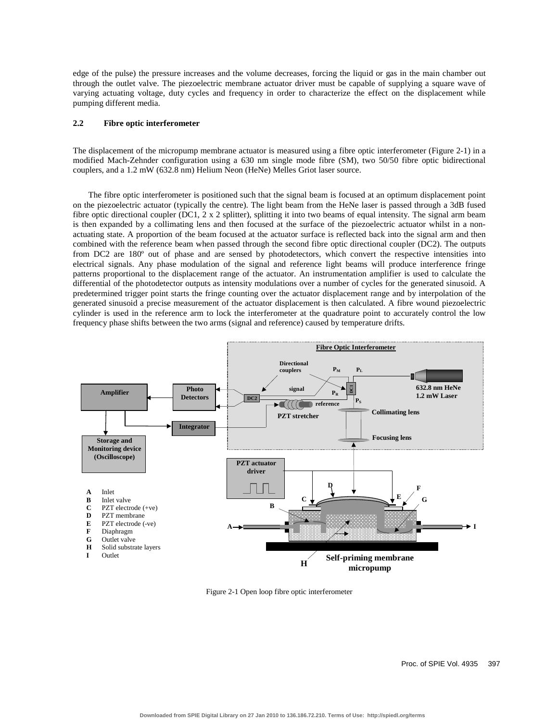edge of the pulse) the pressure increases and the volume decreases, forcing the liquid or gas in the main chamber out through the outlet valve. The piezoelectric membrane actuator driver must be capable of supplying a square wave of varying actuating voltage, duty cycles and frequency in order to characterize the effect on the displacement while pumping different media.

## **2.2 Fibre optic interferometer**

The displacement of the micropump membrane actuator is measured using a fibre optic interferometer (Figure 2-1) in a modified Mach-Zehnder configuration using a 630 nm single mode fibre (SM), two 50/50 fibre optic bidirectional couplers, and a 1.2 mW (632.8 nm) Helium Neon (HeNe) Melles Griot laser source.

The fibre optic interferometer is positioned such that the signal beam is focused at an optimum displacement point on the piezoelectric actuator (typically the centre). The light beam from the HeNe laser is passed through a 3dB fused fibre optic directional coupler (DC1, 2 x 2 splitter), splitting it into two beams of equal intensity. The signal arm beam is then expanded by a collimating lens and then focused at the surface of the piezoelectric actuator whilst in a nonactuating state. A proportion of the beam focused at the actuator surface is reflected back into the signal arm and then combined with the reference beam when passed through the second fibre optic directional coupler (DC2). The outputs from DC2 are 180º out of phase and are sensed by photodetectors, which convert the respective intensities into electrical signals. Any phase modulation of the signal and reference light beams will produce interference fringe patterns proportional to the displacement range of the actuator. An instrumentation amplifier is used to calculate the differential of the photodetector outputs as intensity modulations over a number of cycles for the generated sinusoid. A predetermined trigger point starts the fringe counting over the actuator displacement range and by interpolation of the generated sinusoid a precise measurement of the actuator displacement is then calculated. A fibre wound piezoelectric cylinder is used in the reference arm to lock the interferometer at the quadrature point to accurately control the low frequency phase shifts between the two arms (signal and reference) caused by temperature drifts.



Figure 2-1 Open loop fibre optic interferometer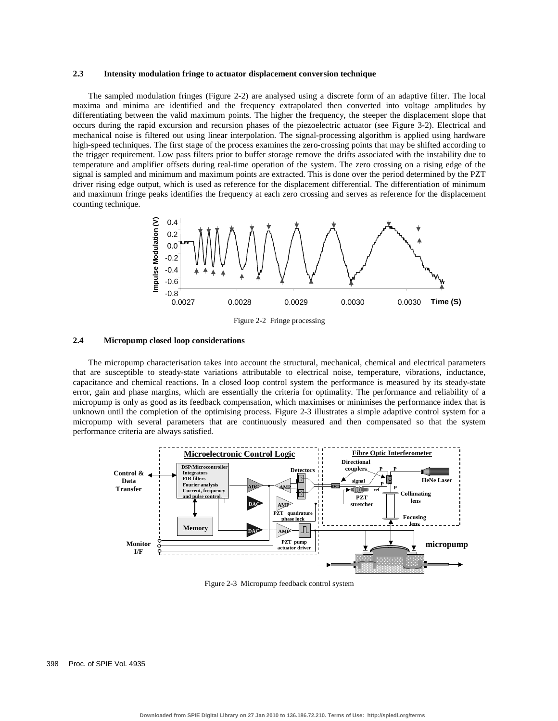#### **2.3 Intensity modulation fringe to actuator displacement conversion technique**

The sampled modulation fringes (Figure 2-2) are analysed using a discrete form of an adaptive filter. The local maxima and minima are identified and the frequency extrapolated then converted into voltage amplitudes by differentiating between the valid maximum points. The higher the frequency, the steeper the displacement slope that occurs during the rapid excursion and recursion phases of the piezoelectric actuator (see Figure 3-2). Electrical and mechanical noise is filtered out using linear interpolation. The signal-processing algorithm is applied using hardware high-speed techniques. The first stage of the process examines the zero-crossing points that may be shifted according to the trigger requirement. Low pass filters prior to buffer storage remove the drifts associated with the instability due to temperature and amplifier offsets during real-time operation of the system. The zero crossing on a rising edge of the signal is sampled and minimum and maximum points are extracted. This is done over the period determined by the PZT driver rising edge output, which is used as reference for the displacement differential. The differentiation of minimum and maximum fringe peaks identifies the frequency at each zero crossing and serves as reference for the displacement counting technique.



Figure 2-2 Fringe processing

### **2.4 Micropump closed loop considerations**

The micropump characterisation takes into account the structural, mechanical, chemical and electrical parameters that are susceptible to steady-state variations attributable to electrical noise, temperature, vibrations, inductance, capacitance and chemical reactions. In a closed loop control system the performance is measured by its steady-state error, gain and phase margins, which are essentially the criteria for optimality. The performance and reliability of a micropump is only as good as its feedback compensation, which maximises or minimises the performance index that is unknown until the completion of the optimising process. Figure 2-3 illustrates a simple adaptive control system for a micropump with several parameters that are continuously measured and then compensated so that the system performance criteria are always satisfied.



Figure 2-3 Micropump feedback control system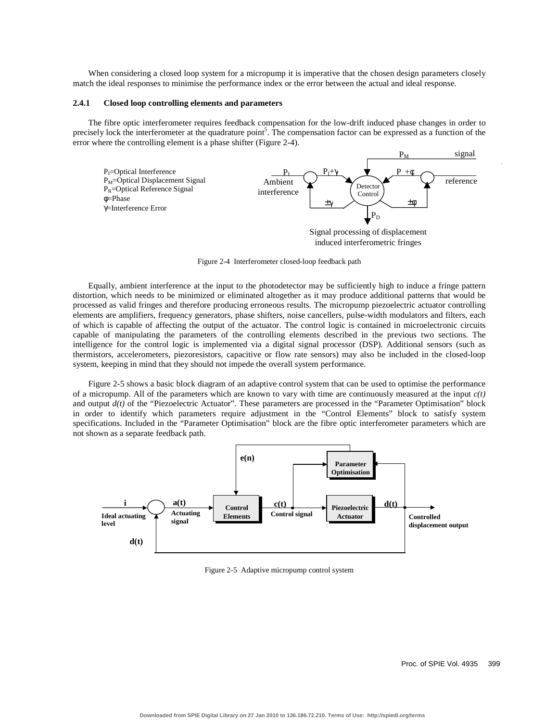When considering a closed loop system for a micropump it is imperative that the chosen design parameters closely match the ideal responses to minimise the performance index or the error between the actual and ideal response.

#### **2.4.1 Closed loop controlling elements and parameters**

The fibre optic interferometer requires feedback compensation for the low-drift induced phase changes in order to precisely lock the interferometer at the quadrature point<sup>5</sup>. The compensation factor can be expressed as a function of the error where the controlling element is a phase shifter (Figure 2-4).



Figure 2-4 Interferometer closed-loop feedback path

Equally, ambient interference at the input to the photodetector may be sufficiently high to induce a fringe pattern distortion, which needs to be minimized or eliminated altogether as it may produce additional patterns that would be processed as valid fringes and therefore producing erroneous results. The micropump piezoelectric actuator controlling elements are amplifiers, frequency generators, phase shifters, noise cancellers, pulse-width modulators and filters, each of which is capable of affecting the output of the actuator. The control logic is contained in microelectronic circuits capable of manipulating the parameters of the controlling elements described in the previous two sections. The intelligence for the control logic is implemented via a digital signal processor (DSP). Additional sensors (such as thermistors, accelerometers, piezoresistors, capacitive or flow rate sensors) may also be included in the closed-loop system, keeping in mind that they should not impede the overall system performance.

Figure 2-5 shows a basic block diagram of an adaptive control system that can be used to optimise the performance of a micropump. All of the parameters which are known to vary with time are continuously measured at the input *c(t)* and output  $d(t)$  of the "Piezoelectric Actuator". These parameters are processed in the "Parameter Optimisation" block in order to identify which parameters require adjustment in the "Control Elements" block to satisfy system specifications. Included in the "Parameter Optimisation" block are the fibre optic interferometer parameters which are not shown as a separate feedback path.



Figure 2-5 Adaptive micropump control system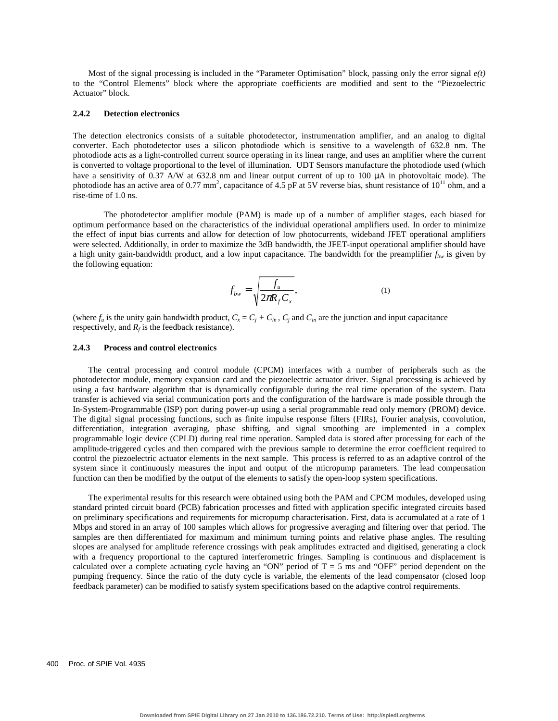Most of the signal processing is included in the "Parameter Optimisation" block, passing only the error signal *e(t)* to the "Control Elements" block where the appropriate coefficients are modified and sent to the "Piezoelectric Actuator" block.

## **2.4.2 Detection electronics**

The detection electronics consists of a suitable photodetector, instrumentation amplifier, and an analog to digital converter. Each photodetector uses a silicon photodiode which is sensitive to a wavelength of 632.8 nm. The photodiode acts as a light-controlled current source operating in its linear range, and uses an amplifier where the current is converted to voltage proportional to the level of illumination. UDT Sensors manufacture the photodiode used (which have a sensitivity of 0.37 A/W at 632.8 nm and linear output current of up to 100  $\mu$ A in photovoltaic mode). The photodiode has an active area of 0.77 mm<sup>2</sup>, capacitance of 4.5 pF at 5V reverse bias, shunt resistance of  $10^{11}$  ohm, and a rise-time of 1.0 ns.

The photodetector amplifier module (PAM) is made up of a number of amplifier stages, each biased for optimum performance based on the characteristics of the individual operational amplifiers used. In order to minimize the effect of input bias currents and allow for detection of low photocurrents, wideband JFET operational amplifiers were selected. Additionally, in order to maximize the 3dB bandwidth, the JFET-input operational amplifier should have a high unity gain-bandwidth product, and a low input capacitance. The bandwidth for the preamplifier  $f_{bw}$  is given by the following equation:

$$
f_{bw} = \sqrt{\frac{f_u}{2\pi R_f C_x}},
$$
\n(1)

(where  $f_u$  is the unity gain bandwidth product,  $C_x = C_j + C_{in}$ ,  $C_j$  and  $C_{in}$  are the junction and input capacitance respectively, and  $R_f$  is the feedback resistance).

#### **2.4.3 Process and control electronics**

The central processing and control module (CPCM) interfaces with a number of peripherals such as the photodetector module, memory expansion card and the piezoelectric actuator driver. Signal processing is achieved by using a fast hardware algorithm that is dynamically configurable during the real time operation of the system. Data transfer is achieved via serial communication ports and the configuration of the hardware is made possible through the In-System-Programmable (ISP) port during power-up using a serial programmable read only memory (PROM) device. The digital signal processing functions, such as finite impulse response filters (FIRs), Fourier analysis, convolution, differentiation, integration averaging, phase shifting, and signal smoothing are implemented in a complex programmable logic device (CPLD) during real time operation. Sampled data is stored after processing for each of the amplitude-triggered cycles and then compared with the previous sample to determine the error coefficient required to control the piezoelectric actuator elements in the next sample. This process is referred to as an adaptive control of the system since it continuously measures the input and output of the micropump parameters. The lead compensation function can then be modified by the output of the elements to satisfy the open-loop system specifications.

The experimental results for this research were obtained using both the PAM and CPCM modules, developed using standard printed circuit board (PCB) fabrication processes and fitted with application specific integrated circuits based on preliminary specifications and requirements for micropump characterisation. First, data is accumulated at a rate of 1 Mbps and stored in an array of 100 samples which allows for progressive averaging and filtering over that period. The samples are then differentiated for maximum and minimum turning points and relative phase angles. The resulting slopes are analysed for amplitude reference crossings with peak amplitudes extracted and digitised, generating a clock with a frequency proportional to the captured interferometric fringes. Sampling is continuous and displacement is calculated over a complete actuating cycle having an "ON" period of  $T = 5$  ms and "OFF" period dependent on the pumping frequency. Since the ratio of the duty cycle is variable, the elements of the lead compensator (closed loop feedback parameter) can be modified to satisfy system specifications based on the adaptive control requirements.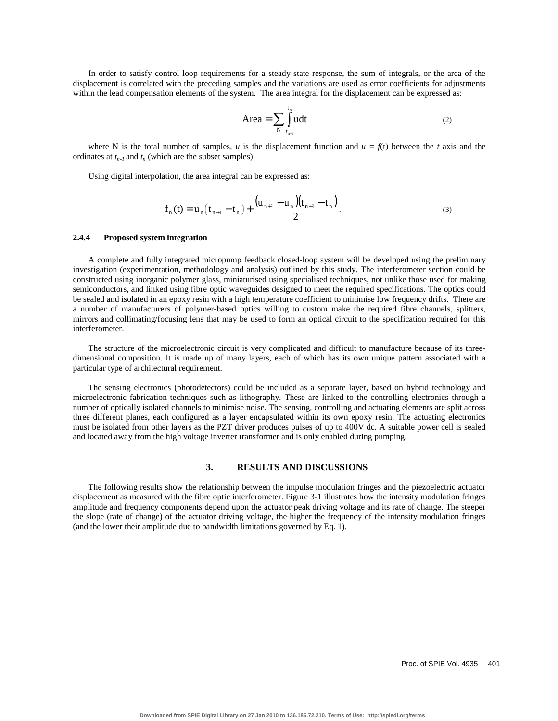In order to satisfy control loop requirements for a steady state response, the sum of integrals, or the area of the displacement is correlated with the preceding samples and the variations are used as error coefficients for adjustments within the lead compensation elements of the system. The area integral for the displacement can be expressed as:

$$
Area = \sum_{N} \int_{t_{n-1}}^{t_n} u dt
$$
 (2)

where N is the total number of samples, *u* is the displacement function and  $u = f(t)$  between the *t* axis and the ordinates at  $t_{n-1}$  and  $t_n$  (which are the subset samples).

Using digital interpolation, the area integral can be expressed as:

$$
f_n(t) = u_n(t_{n+1} - t_n) + \frac{(u_{n+1} - u_n)(t_{n+1} - t_n)}{2}.
$$
 (3)

#### **2.4.4 Proposed system integration**

A complete and fully integrated micropump feedback closed-loop system will be developed using the preliminary investigation (experimentation, methodology and analysis) outlined by this study. The interferometer section could be constructed using inorganic polymer glass, miniaturised using specialised techniques, not unlike those used for making semiconductors, and linked using fibre optic waveguides designed to meet the required specifications. The optics could be sealed and isolated in an epoxy resin with a high temperature coefficient to minimise low frequency drifts. There are a number of manufacturers of polymer-based optics willing to custom make the required fibre channels, splitters, mirrors and collimating/focusing lens that may be used to form an optical circuit to the specification required for this interferometer.

The structure of the microelectronic circuit is very complicated and difficult to manufacture because of its threedimensional composition. It is made up of many layers, each of which has its own unique pattern associated with a particular type of architectural requirement.

The sensing electronics (photodetectors) could be included as a separate layer, based on hybrid technology and microelectronic fabrication techniques such as lithography. These are linked to the controlling electronics through a number of optically isolated channels to minimise noise. The sensing, controlling and actuating elements are split across three different planes, each configured as a layer encapsulated within its own epoxy resin. The actuating electronics must be isolated from other layers as the PZT driver produces pulses of up to 400V dc. A suitable power cell is sealed and located away from the high voltage inverter transformer and is only enabled during pumping.

# **3. RESULTS AND DISCUSSIONS**

The following results show the relationship between the impulse modulation fringes and the piezoelectric actuator displacement as measured with the fibre optic interferometer. Figure 3-1 illustrates how the intensity modulation fringes amplitude and frequency components depend upon the actuator peak driving voltage and its rate of change. The steeper the slope (rate of change) of the actuator driving voltage, the higher the frequency of the intensity modulation fringes (and the lower their amplitude due to bandwidth limitations governed by Eq. 1).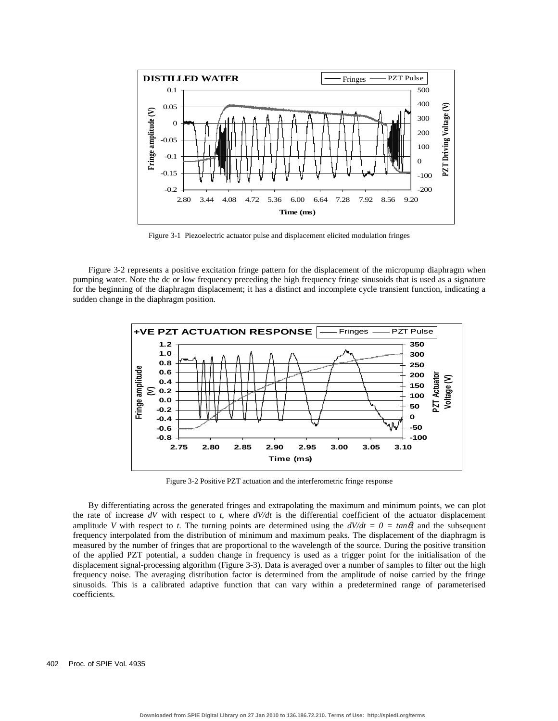

Figure 3-1 Piezoelectric actuator pulse and displacement elicited modulation fringes

Figure 3-2 represents a positive excitation fringe pattern for the displacement of the micropump diaphragm when pumping water. Note the dc or low frequency preceding the high frequency fringe sinusoids that is used as a signature for the beginning of the diaphragm displacement; it has a distinct and incomplete cycle transient function, indicating a sudden change in the diaphragm position.



Figure 3-2 Positive PZT actuation and the interferometric fringe response

By differentiating across the generated fringes and extrapolating the maximum and minimum points, we can plot the rate of increase *dV* with respect to *t*, where *dV/dt* is the differential coefficient of the actuator displacement amplitude *V* with respect to *t*. The turning points are determined using the  $dV/dt = 0 = \tan\theta$ , and the subsequent frequency interpolated from the distribution of minimum and maximum peaks. The displacement of the diaphragm is measured by the number of fringes that are proportional to the wavelength of the source. During the positive transition of the applied PZT potential, a sudden change in frequency is used as a trigger point for the initialisation of the displacement signal-processing algorithm (Figure 3-3). Data is averaged over a number of samples to filter out the high frequency noise. The averaging distribution factor is determined from the amplitude of noise carried by the fringe sinusoids. This is a calibrated adaptive function that can vary within a predetermined range of parameterised coefficients.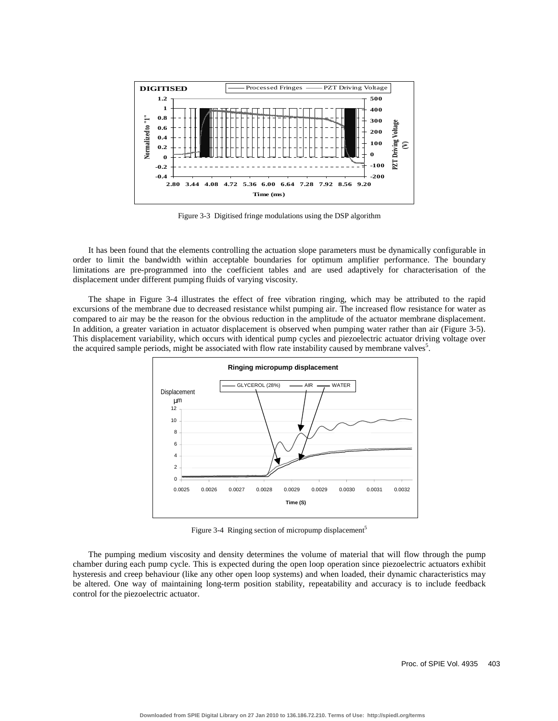

Figure 3-3 Digitised fringe modulations using the DSP algorithm

It has been found that the elements controlling the actuation slope parameters must be dynamically configurable in order to limit the bandwidth within acceptable boundaries for optimum amplifier performance. The boundary limitations are pre-programmed into the coefficient tables and are used adaptively for characterisation of the displacement under different pumping fluids of varying viscosity.

The shape in Figure 3-4 illustrates the effect of free vibration ringing, which may be attributed to the rapid excursions of the membrane due to decreased resistance whilst pumping air. The increased flow resistance for water as compared to air may be the reason for the obvious reduction in the amplitude of the actuator membrane displacement. In addition, a greater variation in actuator displacement is observed when pumping water rather than air (Figure 3-5). This displacement variability, which occurs with identical pump cycles and piezoelectric actuator driving voltage over the acquired sample periods, might be associated with flow rate instability caused by membrane valves<sup>5</sup>.



Figure 3-4 Ringing section of micropump displacement<sup>5</sup>

The pumping medium viscosity and density determines the volume of material that will flow through the pump chamber during each pump cycle. This is expected during the open loop operation since piezoelectric actuators exhibit hysteresis and creep behaviour (like any other open loop systems) and when loaded, their dynamic characteristics may be altered. One way of maintaining long-term position stability, repeatability and accuracy is to include feedback control for the piezoelectric actuator.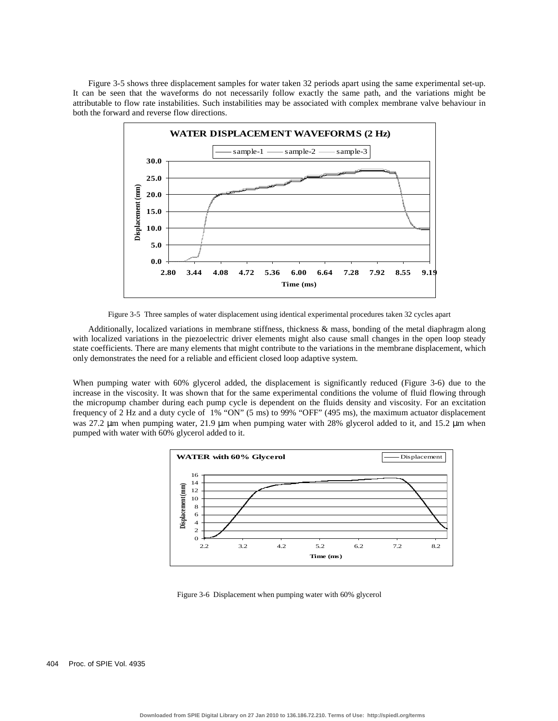Figure 3-5 shows three displacement samples for water taken 32 periods apart using the same experimental set-up. It can be seen that the waveforms do not necessarily follow exactly the same path, and the variations might be attributable to flow rate instabilities. Such instabilities may be associated with complex membrane valve behaviour in both the forward and reverse flow directions.



Figure 3-5 Three samples of water displacement using identical experimental procedures taken 32 cycles apart

Additionally, localized variations in membrane stiffness, thickness & mass, bonding of the metal diaphragm along with localized variations in the piezoelectric driver elements might also cause small changes in the open loop steady state coefficients. There are many elements that might contribute to the variations in the membrane displacement, which only demonstrates the need for a reliable and efficient closed loop adaptive system.

When pumping water with 60% glycerol added, the displacement is significantly reduced (Figure 3-6) due to the increase in the viscosity. It was shown that for the same experimental conditions the volume of fluid flowing through the micropump chamber during each pump cycle is dependent on the fluids density and viscosity. For an excitation frequency of 2 Hz and a duty cycle of 1% "ON" (5 ms) to 99% "OFF" (495 ms), the maximum actuator displacement was 27.2 µm when pumping water, 21.9 µm when pumping water with 28% glycerol added to it, and 15.2 µm when pumped with water with 60% glycerol added to it.



Figure 3-6 Displacement when pumping water with 60% glycerol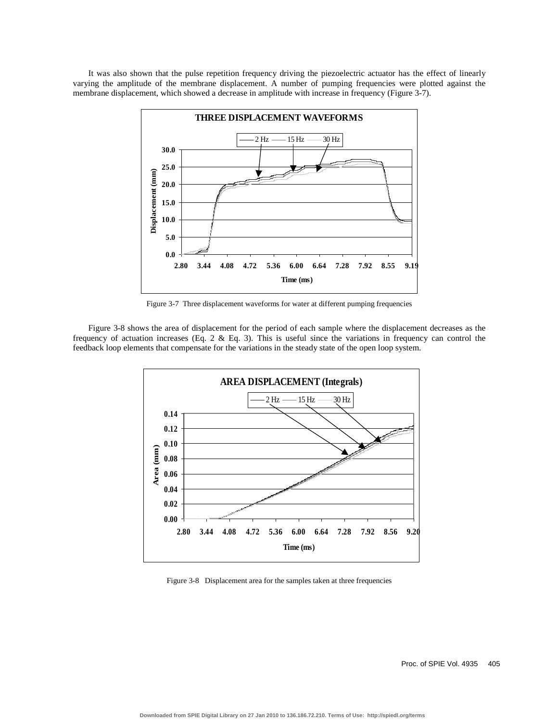It was also shown that the pulse repetition frequency driving the piezoelectric actuator has the effect of linearly varying the amplitude of the membrane displacement. A number of pumping frequencies were plotted against the membrane displacement, which showed a decrease in amplitude with increase in frequency (Figure 3-7).



Figure 3-7 Three displacement waveforms for water at different pumping frequencies

Figure 3-8 shows the area of displacement for the period of each sample where the displacement decreases as the frequency of actuation increases (Eq. 2  $\&$  Eq. 3). This is useful since the variations in frequency can control the feedback loop elements that compensate for the variations in the steady state of the open loop system.



Figure 3-8 Displacement area for the samples taken at three frequencies